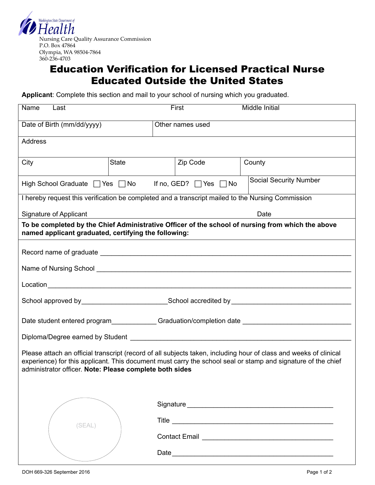

## Education Verification for Licensed Practical Nurse Educated Outside the United States

**Applicant**: Complete this section and mail to your school of nursing which you graduated.

| Name<br>Last                                                                                                                                                                                                                                                                                 |              | First            | Middle Initial                |  |  |  |  |
|----------------------------------------------------------------------------------------------------------------------------------------------------------------------------------------------------------------------------------------------------------------------------------------------|--------------|------------------|-------------------------------|--|--|--|--|
| Date of Birth (mm/dd/yyyy)                                                                                                                                                                                                                                                                   |              | Other names used |                               |  |  |  |  |
| <b>Address</b>                                                                                                                                                                                                                                                                               |              |                  |                               |  |  |  |  |
| City                                                                                                                                                                                                                                                                                         | <b>State</b> | Zip Code         | County                        |  |  |  |  |
| High School Graduate $\Box$ Yes $\Box$ No If no, GED? $\Box$ Yes $\Box$ No                                                                                                                                                                                                                   |              |                  | <b>Social Security Number</b> |  |  |  |  |
| I hereby request this verification be completed and a transcript mailed to the Nursing Commission                                                                                                                                                                                            |              |                  |                               |  |  |  |  |
| Signature of Applicant<br>Date                                                                                                                                                                                                                                                               |              |                  |                               |  |  |  |  |
| To be completed by the Chief Administrative Officer of the school of nursing from which the above<br>named applicant graduated, certifying the following:                                                                                                                                    |              |                  |                               |  |  |  |  |
|                                                                                                                                                                                                                                                                                              |              |                  |                               |  |  |  |  |
|                                                                                                                                                                                                                                                                                              |              |                  |                               |  |  |  |  |
|                                                                                                                                                                                                                                                                                              |              |                  |                               |  |  |  |  |
|                                                                                                                                                                                                                                                                                              |              |                  |                               |  |  |  |  |
| Date student entered program____________Graduation/completion date _________________________________                                                                                                                                                                                         |              |                  |                               |  |  |  |  |
|                                                                                                                                                                                                                                                                                              |              |                  |                               |  |  |  |  |
| Please attach an official transcript (record of all subjects taken, including hour of class and weeks of clinical<br>experience) for this applicant. This document must carry the school seal or stamp and signature of the chief<br>administrator officer. Note: Please complete both sides |              |                  |                               |  |  |  |  |
|                                                                                                                                                                                                                                                                                              |              |                  |                               |  |  |  |  |
|                                                                                                                                                                                                                                                                                              |              |                  |                               |  |  |  |  |
| (SEAL)                                                                                                                                                                                                                                                                                       |              |                  |                               |  |  |  |  |
|                                                                                                                                                                                                                                                                                              |              |                  |                               |  |  |  |  |
|                                                                                                                                                                                                                                                                                              |              |                  |                               |  |  |  |  |